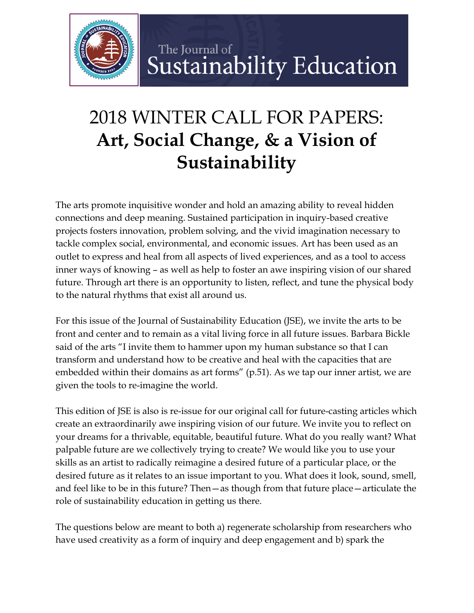

## The Journal of Sustainability Education

## 2018 WINTER CALL FOR PAPERS: **Art, Social Change, & a Vision of Sustainability**

The arts promote inquisitive wonder and hold an amazing ability to reveal hidden connections and deep meaning. Sustained participation in inquiry-based creative projects fosters innovation, problem solving, and the vivid imagination necessary to tackle complex social, environmental, and economic issues. Art has been used as an outlet to express and heal from all aspects of lived experiences, and as a tool to access inner ways of knowing – as well as help to foster an awe inspiring vision of our shared future. Through art there is an opportunity to listen, reflect, and tune the physical body to the natural rhythms that exist all around us.

For this issue of the Journal of Sustainability Education (JSE), we invite the arts to be front and center and to remain as a vital living force in all future issues. Barbara Bickle said of the arts "I invite them to hammer upon my human substance so that I can transform and understand how to be creative and heal with the capacities that are embedded within their domains as art forms" (p.51). As we tap our inner artist, we are given the tools to re-imagine the world.

This edition of JSE is also is re-issue for our original call for future-casting articles which create an extraordinarily awe inspiring vision of our future. We invite you to reflect on your dreams for a thrivable, equitable, beautiful future. What do you really want? What palpable future are we collectively trying to create? We would like you to use your skills as an artist to radically reimagine a desired future of a particular place, or the desired future as it relates to an issue important to you. What does it look, sound, smell, and feel like to be in this future? Then—as though from that future place—articulate the role of sustainability education in getting us there.

The questions below are meant to both a) regenerate scholarship from researchers who have used creativity as a form of inquiry and deep engagement and b) spark the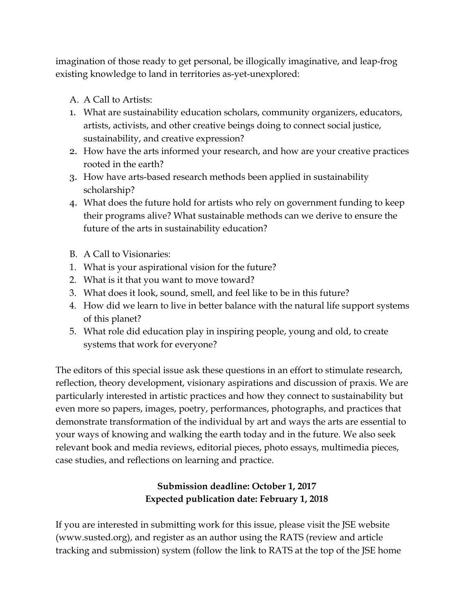imagination of those ready to get personal, be illogically imaginative, and leap-frog existing knowledge to land in territories as-yet-unexplored:

- A. A Call to Artists:
- 1. What are sustainability education scholars, community organizers, educators, artists, activists, and other creative beings doing to connect social justice, sustainability, and creative expression?
- 2. How have the arts informed your research, and how are your creative practices rooted in the earth?
- 3. How have arts-based research methods been applied in sustainability scholarship?
- 4. What does the future hold for artists who rely on government funding to keep their programs alive? What sustainable methods can we derive to ensure the future of the arts in sustainability education?
- B. A Call to Visionaries:
- 1. What is your aspirational vision for the future?
- 2. What is it that you want to move toward?
- 3. What does it look, sound, smell, and feel like to be in this future?
- 4. How did we learn to live in better balance with the natural life support systems of this planet?
- 5. What role did education play in inspiring people, young and old, to create systems that work for everyone?

The editors of this special issue ask these questions in an effort to stimulate research, reflection, theory development, visionary aspirations and discussion of praxis. We are particularly interested in artistic practices and how they connect to sustainability but even more so papers, images, poetry, performances, photographs, and practices that demonstrate transformation of the individual by art and ways the arts are essential to your ways of knowing and walking the earth today and in the future. We also seek relevant book and media reviews, editorial pieces, photo essays, multimedia pieces, case studies, and reflections on learning and practice.

## **Submission deadline: October 1, 2017 Expected publication date: February 1, 2018**

If you are interested in submitting work for this issue, please visit the JSE website (www.susted.org), and register as an author using the RATS (review and article tracking and submission) system (follow the link to RATS at the top of the JSE home